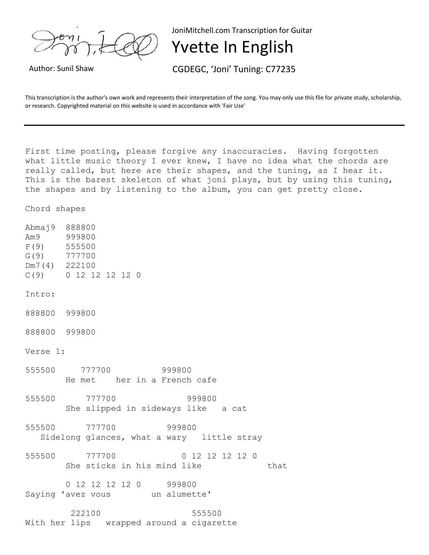

JoniMitchell.com Transcription for Guitar

## Yvette In English

Author: Sunil Shaw CGDEGC, 'Joni' Tuning: C77235

This transcription is the author's own work and represents their interpretation of the song. You may only use this file for private study, scholarship, or research. Copyrighted material on this website is used in accordance with 'Fair Use'

First time posting, please forgive any inaccuracies. Having forgotten what little music theory I ever knew, I have no idea what the chords are really called, but here are their shapes, and the tuning, as I hear it. This is the barest skeleton of what joni plays, but by using this tuning, the shapes and by listening to the album, you can get pretty close.

Chord shapes

Abmaj9 888800 Am9 999800 F(9) 555500 G(9) 777700 Dm7(4) 222100 C(9) 0 12 12 12 12 0 Intro: 888800 999800 888800 999800 Verse 1: 555500 777700 999800 He met her in a French cafe 555500 777700 999800 She slipped in sideways like a cat 555500 777700 999800 Sidelong glances, what a wary little stray 555500 777700 0 12 12 12 12 0 She sticks in his mind like that 0 12 12 12 12 0 999800 Saying 'avez vous un alumette' 222100 555500

With her lips wrapped around a cigarette